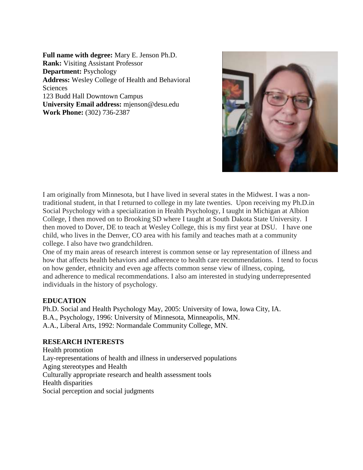**Full name with degree:** Mary E. Jenson Ph.D. **Rank:** Visiting Assistant Professor **Department:** Psychology **Address:** Wesley College of Health and Behavioral Sciences 123 Budd Hall Downtown Campus **University Email address:** mjenson@desu.edu **Work Phone:** (302) 736-2387



I am originally from Minnesota, but I have lived in several states in the Midwest. I was a nontraditional student, in that I returned to college in my late twenties. Upon receiving my Ph.D.in Social Psychology with a specialization in Health Psychology, I taught in Michigan at Albion College, I then moved on to Brooking SD where I taught at South Dakota State University. I then moved to Dover, DE to teach at Wesley College, this is my first year at DSU. I have one child, who lives in the Denver, CO area with his family and teaches math at a community college. I also have two grandchildren.

One of my main areas of research interest is common sense or lay representation of illness and how that affects health behaviors and adherence to health care recommendations. I tend to focus on how gender, ethnicity and even age affects common sense view of illness, coping, and adherence to medical recommendations. I also am interested in studying underrepresented individuals in the history of psychology.

# **EDUCATION**

Ph.D. Social and Health Psychology May, 2005: University of Iowa, Iowa City, IA. B.A., Psychology, 1996: University of Minnesota, Minneapolis, MN. A.A., Liberal Arts, 1992: Normandale Community College, MN.

### **RESEARCH INTERESTS**

Health promotion Lay-representations of health and illness in underserved populations Aging stereotypes and Health Culturally appropriate research and health assessment tools Health disparities Social perception and social judgments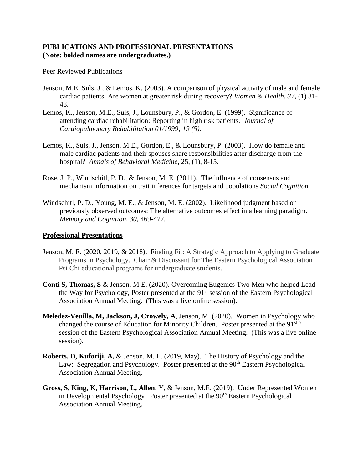## **PUBLICATIONS AND PROFESSIONAL PRESENTATIONS (Note: bolded names are undergraduates.)**

#### Peer Reviewed Publications

- Jenson, M.E, Suls, J., & Lemos, K. (2003). A comparison of physical activity of male and female cardiac patients: Are women at greater risk during recovery? *Women & Health, 37*, (1) 31- 48.
- Lemos, K., Jenson, M.E., Suls, J., Lounsbury, P., & Gordon, E. (1999). Significance of attending cardiac rehabilitation: Reporting in high risk patients. *Journal of Cardiopulmonary Rehabilitation 01/1999; 19 (5).*
- Lemos, K., Suls, J., Jenson, M.E., Gordon, E., & Lounsbury, P. (2003). How do female and male cardiac patients and their spouses share responsibilities after discharge from the hospital? *Annals of Behavioral Medicine,* 25, (1), 8-15.
- Rose, J. P., Windschitl, P. D., & Jenson, M. E. (2011). The influence of consensus and mechanism information on trait inferences for targets and populations *Social Cognition*.
- Windschitl, P. D., Young, M. E., & Jenson, M. E. (2002). Likelihood judgment based on previously observed outcomes: The alternative outcomes effect in a learning paradigm. *Memory and Cognition, 30,* 469-477*.*

### **Professional Presentations**

- Jenson, M. E. (2020, 2019, & 2018**).** Finding Fit: A Strategic Approach to Applying to Graduate Programs in Psychology. Chair & Discussant for The Eastern Psychological Association Psi Chi educational programs for undergraduate students.
- **Conti S, Thomas, S** & Jenson, M E. (2020). Overcoming Eugenics Two Men who helped Lead the Way for Psychology, Poster presented at the 91<sup>st</sup> session of the Eastern Psychological Association Annual Meeting. (This was a live online session).
- **Meledez-Veuilla, M, Jackson, J, Crowely, A**, Jenson, M. (2020). Women in Psychology who changed the course of Education for Minority Children. Poster presented at the 91<sup>st o</sup> session of the Eastern Psychological Association Annual Meeting. (This was a live online session).
- **Roberts, D, Kuforiji, A,** & Jenson, M. E. (2019, May). The History of Psychology and the Law: Segregation and Psychology. Poster presented at the  $90<sup>th</sup>$  Eastern Psychological Association Annual Meeting.
- **Gross, S, King, K, Harrison, L, Allen**, Y, & Jenson, M.E. (2019). Under Represented Women in Developmental Psychology Poster presented at the 90<sup>th</sup> Eastern Psychological Association Annual Meeting.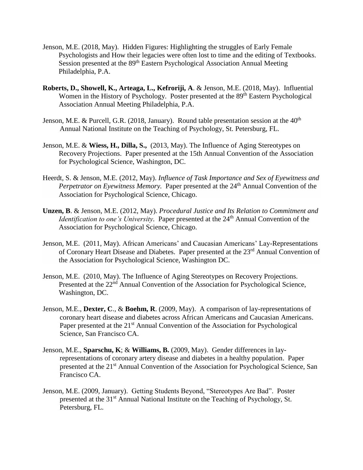- Jenson, M.E. (2018, May). Hidden Figures: Highlighting the struggles of Early Female Psychologists and How their legacies were often lost to time and the editing of Textbooks. Session presented at the 89<sup>th</sup> Eastern Psychological Association Annual Meeting Philadelphia, P.A.
- **Roberts, D., Showell, K., Arteaga, L., Kefroriji, A**. & Jenson, M.E. (2018, May). Influential Women in the History of Psychology. Poster presented at the 89<sup>th</sup> Eastern Psychological Association Annual Meeting Philadelphia, P.A.
- Jenson, M.E. & Purcell, G.R. (2018, January). Round table presentation session at the  $40<sup>th</sup>$ Annual National Institute on the Teaching of Psychology, St. Petersburg, FL.
- Jenson, M.E. & **Wiess, H., Dilla, S.,** (2013, May). The Influence of Aging Stereotypes on Recovery Projections. Paper presented at the 15th Annual Convention of the Association for Psychological Science, Washington, DC.
- Heerdt, S. & Jenson, M.E. (2012, May). *Influence of Task Importance and Sex of Eyewitness and Perpetrator on Eyewitness Memory.* Paper presented at the 24<sup>th</sup> Annual Convention of the Association for Psychological Science, Chicago.
- **Unzen, B**. & Jenson, M.E. (2012, May). *Procedural Justice and Its Relation to Commitment and Identification to one's University.* Paper presented at the 24<sup>th</sup> Annual Convention of the Association for Psychological Science, Chicago.
- Jenson, M.E. (2011, May). African Americans' and Caucasian Americans' Lay-Representations of Coronary Heart Disease and Diabetes. Paper presented at the 23rd Annual Convention of the Association for Psychological Science, Washington DC.
- Jenson, M.E. (2010, May). The Influence of Aging Stereotypes on Recovery Projections. Presented at the 22<sup>nd</sup> Annual Convention of the Association for Psychological Science, Washington, DC.
- Jenson, M.E., **Dexter, C**., & **Boehm, R**. (2009, May). A comparison of lay-representations of coronary heart disease and diabetes across African Americans and Caucasian Americans. Paper presented at the 21<sup>st</sup> Annual Convention of the Association for Psychological Science, San Francisco CA.
- Jenson, M.E., **Sparschu, K**; & **Williams, B.** (2009, May). Gender differences in layrepresentations of coronary artery disease and diabetes in a healthy population. Paper presented at the 21st Annual Convention of the Association for Psychological Science, San Francisco CA.
- Jenson, M.E. (2009, January). Getting Students Beyond, "Stereotypes Are Bad". Poster presented at the 31<sup>st</sup> Annual National Institute on the Teaching of Psychology, St. Petersburg, FL.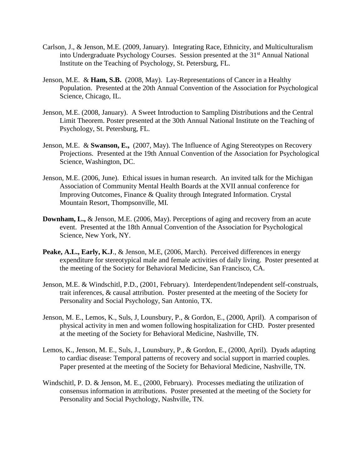- Carlson, J., & Jenson, M.E. (2009, January). Integrating Race, Ethnicity, and Multiculturalism into Undergraduate Psychology Courses. Session presented at the 31<sup>st</sup> Annual National Institute on the Teaching of Psychology, St. Petersburg, FL.
- Jenson, M.E.& **Ham, S.B.** (2008, May). Lay-Representations of Cancer in a Healthy Population. Presented at the 20th Annual Convention of the Association for Psychological Science, Chicago, IL.
- Jenson, M.E. (2008, January). A Sweet Introduction to Sampling Distributions and the Central Limit Theorem. Poster presented at the 30th Annual National Institute on the Teaching of Psychology, St. Petersburg, FL.
- Jenson, M.E. & **Swanson, E.,** (2007, May). The Influence of Aging Stereotypes on Recovery Projections. Presented at the 19th Annual Convention of the Association for Psychological Science, Washington, DC.
- Jenson, M.E. (2006, June). Ethical issues in human research. An invited talk for the Michigan Association of Community Mental Health Boards at the XVII annual conference for Improving Outcomes, Finance & Quality through Integrated Information. Crystal Mountain Resort, Thompsonville, MI.
- **Downham, L.,** & Jenson, M.E. (2006, May). Perceptions of aging and recovery from an acute event. Presented at the 18th Annual Convention of the Association for Psychological Science, New York, NY.
- Peake, A.L., Early, K.J., & Jenson, M.E. (2006, March). Perceived differences in energy expenditure for stereotypical male and female activities of daily living. Poster presented at the meeting of the Society for Behavioral Medicine, San Francisco, CA.
- Jenson, M.E. & Windschitl, P.D., (2001, February). Interdependent/Independent self-construals, trait inferences, & causal attribution. Poster presented at the meeting of the Society for Personality and Social Psychology, San Antonio, TX.
- Jenson, M. E., Lemos, K., Suls, J, Lounsbury, P., & Gordon, E., (2000, April). A comparison of physical activity in men and women following hospitalization for CHD. Poster presented at the meeting of the Society for Behavioral Medicine, Nashville, TN.
- Lemos, K., Jenson, M. E., Suls, J., Lounsbury, P., & Gordon, E., (2000, April). Dyads adapting to cardiac disease: Temporal patterns of recovery and social support in married couples. Paper presented at the meeting of the Society for Behavioral Medicine, Nashville, TN.
- Windschitl, P. D. & Jenson, M. E., (2000, February). Processes mediating the utilization of consensus information in attributions. Poster presented at the meeting of the Society for Personality and Social Psychology, Nashville, TN.